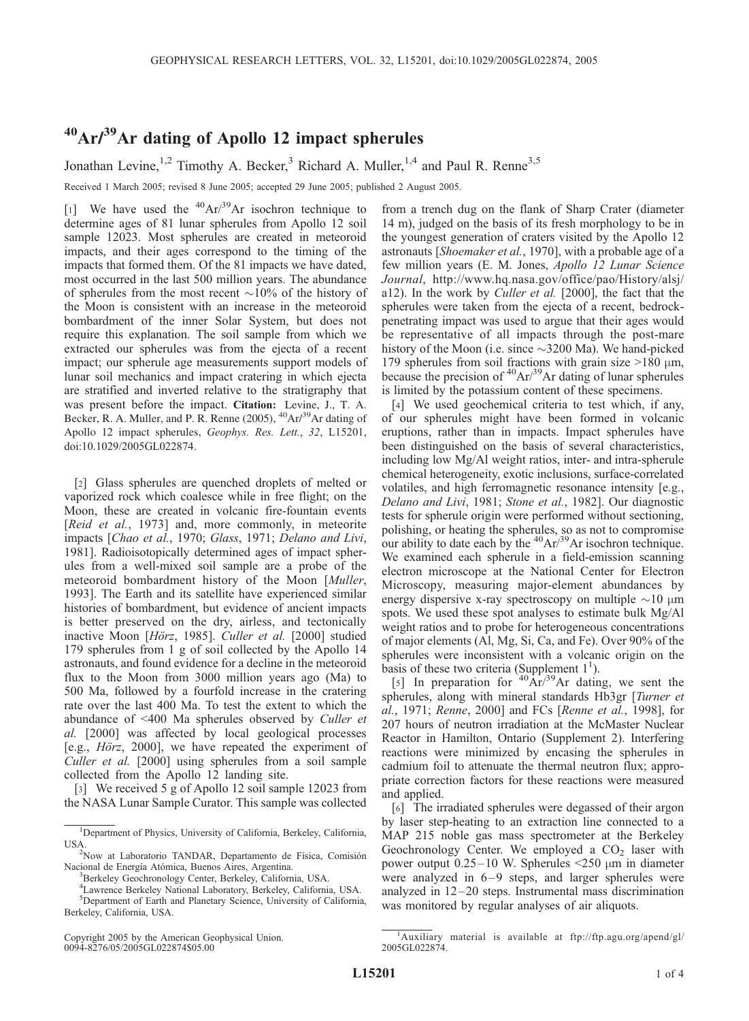## $^{40}Ar/^{39}Ar$  dating of Apollo 12 impact spherules

Jonathan Levine,<sup>1,2</sup> Timothy A. Becker,<sup>3</sup> Richard A. Muller,<sup>1,4</sup> and Paul R. Renne<sup>3,5</sup>

Received 1 March 2005; revised 8 June 2005; accepted 29 June 2005; published 2 August 2005.

[1] We have used the  $^{40}Ar^{39}Ar$  isochron technique to determine ages of 81 lunar spherules from Apollo 12 soil sample 12023. Most spherules are created in meteoroid impacts, and their ages correspond to the timing of the impacts that formed them. Of the 81 impacts we have dated, most occurred in the last 500 million years. The abundance of spherules from the most recent  $\sim 10\%$  of the history of the Moon is consistent with an increase in the meteoroid bombardment of the inner Solar System, but does not require this explanation. The soil sample from which we extracted our spherules was from the ejecta of a recent impact; our spherule age measurements support models of lunar soil mechanics and impact cratering in which ejecta are stratified and inverted relative to the stratigraphy that was present before the impact. Citation: Levine, J., T. A. Becker, R. A. Muller, and P. R. Renne (2005),  ${}^{40}Ar/{}^{39}Ar$  dating of Apollo 12 impact spherules, Geophys. Res. Lett., 32, L15201, doi:10.1029/2005GL022874.

[2] Glass spherules are quenched droplets of melted or vaporized rock which coalesce while in free flight; on the Moon, these are created in volcanic fire-fountain events [Reid et al., 1973] and, more commonly, in meteorite impacts [Chao et al., 1970; Glass, 1971; Delano and Livi, 1981]. Radioisotopically determined ages of impact spherules from a well-mixed soil sample are a probe of the meteoroid bombardment history of the Moon [Muller, 1993]. The Earth and its satellite have experienced similar histories of bombardment, but evidence of ancient impacts is better preserved on the dry, airless, and tectonically inactive Moon [Hörz, 1985]. Culler et al. [2000] studied 179 spherules from 1 g of soil collected by the Apollo 14 astronauts, and found evidence for a decline in the meteoroid flux to the Moon from 3000 million years ago (Ma) to 500 Ma, followed by a fourfold increase in the cratering rate over the last 400 Ma. To test the extent to which the abundance of <400 Ma spherules observed by Culler et al. [2000] was affected by local geological processes [e.g.,  $H\ddot{o}rz$ , 2000], we have repeated the experiment of Culler et al. [2000] using spherules from a soil sample collected from the Apollo 12 landing site.

[3] We received 5 g of Apollo 12 soil sample 12023 from the NASA Lunar Sample Curator. This sample was collected

Copyright 2005 by the American Geophysical Union. 0094-8276/05/2005GL022874\$05.00

from a trench dug on the flank of Sharp Crater (diameter 14 m), judged on the basis of its fresh morphology to be in the youngest generation of craters visited by the Apollo 12 astronauts [Shoemaker et al., 1970], with a probable age of a few million years (E. M. Jones, Apollo 12 Lunar Science Journal, http://www.hq.nasa.gov/office/pao/History/alsj/ a12). In the work by Culler et al. [2000], the fact that the spherules were taken from the ejecta of a recent, bedrockpenetrating impact was used to argue that their ages would be representative of all impacts through the post-mare history of the Moon (i.e. since  $\sim$ 3200 Ma). We hand-picked 179 spherules from soil fractions with grain size  $>180 \mu m$ , because the precision of  ${}^{40}Ar/{}^{39}Ar$  dating of lunar spherules is limited by the potassium content of these specimens.

[4] We used geochemical criteria to test which, if any, of our spherules might have been formed in volcanic eruptions, rather than in impacts. Impact spherules have been distinguished on the basis of several characteristics, including low Mg/Al weight ratios, inter- and intra-spherule chemical heterogeneity, exotic inclusions, surface-correlated volatiles, and high ferromagnetic resonance intensity [e.g., Delano and Livi, 1981; Stone et al., 1982]. Our diagnostic tests for spherule origin were performed without sectioning, polishing, or heating the spherules, so as not to compromise our ability to date each by the  ${}^{40}Ar/{}^{39}Ar$  isochron technique. We examined each spherule in a field-emission scanning electron microscope at the National Center for Electron Microscopy, measuring major-element abundances by energy dispersive x-ray spectroscopy on multiple  $\sim$ 10  $\mu$ m spots. We used these spot analyses to estimate bulk Mg/Al weight ratios and to probe for heterogeneous concentrations of major elements (Al, Mg, Si, Ca, and Fe). Over 90% of the spherules were inconsistent with a volcanic origin on the basis of these two criteria (Supplement  $1^1$ ).

[5] In preparation for  $40 \text{Ar}^{39}$ Ar dating, we sent the spherules, along with mineral standards Hb3gr [Turner et al., 1971; Renne, 2000] and FCs [Renne et al., 1998], for 207 hours of neutron irradiation at the McMaster Nuclear Reactor in Hamilton, Ontario (Supplement 2). Interfering reactions were minimized by encasing the spherules in cadmium foil to attenuate the thermal neutron flux; appropriate correction factors for these reactions were measured and applied.

[6] The irradiated spherules were degassed of their argon by laser step-heating to an extraction line connected to a MAP 215 noble gas mass spectrometer at the Berkeley Geochronology Center. We employed a  $CO<sub>2</sub>$  laser with power output  $0.25-10$  W. Spherules  $\leq 250$  µm in diameter were analyzed in  $6-9$  steps, and larger spherules were analyzed in 12 –20 steps. Instrumental mass discrimination was monitored by regular analyses of air aliquots.

<sup>&</sup>lt;sup>1</sup>Department of Physics, University of California, Berkeley, California, **USA** 

 $2$ Now at Laboratorio TANDAR, Departamento de Física, Comisión Nacional de Energía Atómica, Buenos Aires, Argentina.

<sup>&</sup>lt;sup>3</sup>Berkeley Geochronology Center, Berkeley, California, USA.

<sup>4</sup> Lawrence Berkeley National Laboratory, Berkeley, California, USA. 5 Department of Earth and Planetary Science, University of California, Berkeley, California, USA.

<sup>&</sup>lt;sup>1</sup>Auxiliary material is available at ftp://ftp.agu.org/apend/gl/ 2005GL022874.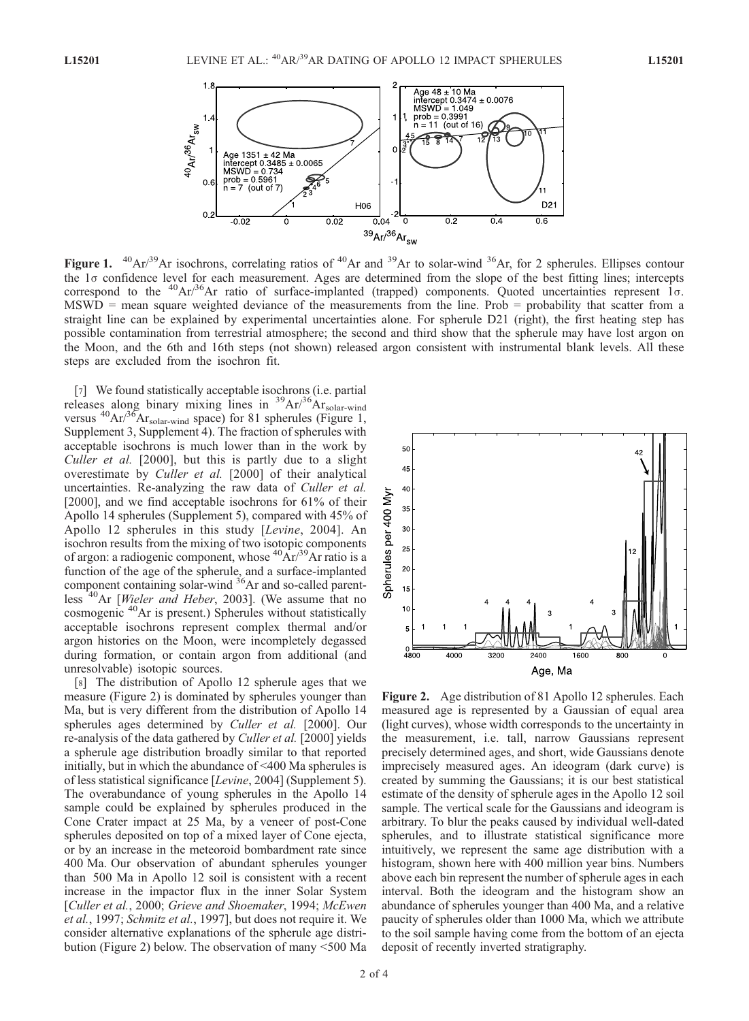

Figure 1.  $^{40}Ar^{39}Ar$  isochrons, correlating ratios of  $^{40}Ar$  and  $^{39}Ar$  to solar-wind  $^{36}Ar$ , for 2 spherules. Ellipses contour the 1<sub>0</sub> confidence level for each measurement. Ages are determined from the slope of the best fitting lines; intercepts correspond to the  ${}^{40}Ar/{}^{36}Ar$  ratio of surface-implanted (trapped) components. Quoted uncertainties represent  $1\sigma$ . MSWD = mean square weighted deviance of the measurements from the line. Prob = probability that scatter from a straight line can be explained by experimental uncertainties alone. For spherule D21 (right), the first heating step has possible contamination from terrestrial atmosphere; the second and third show that the spherule may have lost argon on the Moon, and the 6th and 16th steps (not shown) released argon consistent with instrumental blank levels. All these steps are excluded from the isochron fit.

[7] We found statistically acceptable isochrons (i.e. partial releases along binary mixing lines in <sup>39</sup>Ar/<sup>36</sup>Ar<sub>solar-wind</sub> versus  ${}^{40}Ar/{}^{36}Ar_{\text{solar-wind}}$  space) for 81 spherules (Figure 1, Supplement 3, Supplement 4). The fraction of spherules with acceptable isochrons is much lower than in the work by Culler et al. [2000], but this is partly due to a slight overestimate by Culler et al. [2000] of their analytical uncertainties. Re-analyzing the raw data of Culler et al. [2000], and we find acceptable isochrons for 61% of their Apollo 14 spherules (Supplement 5), compared with 45% of Apollo 12 spherules in this study [Levine, 2004]. An isochron results from the mixing of two isotopic components of argon: a radiogenic component, whose  ${}^{40}Ar/{}^{39}Ar$  ratio is a function of the age of the spherule, and a surface-implanted component containing solar-wind <sup>36</sup>Ar and so-called parentless<sup>40</sup>Ar [*Wieler and Heber*, 2003]. (We assume that no cosmogenic <sup>40</sup>Ar is present.) Spherules without statistically acceptable isochrons represent complex thermal and/or argon histories on the Moon, were incompletely degassed during formation, or contain argon from additional (and unresolvable) isotopic sources.

[8] The distribution of Apollo 12 spherule ages that we measure (Figure 2) is dominated by spherules younger than Ma, but is very different from the distribution of Apollo 14 spherules ages determined by *Culler et al.* [2000]. Our re-analysis of the data gathered by Culler et al. [2000] yields a spherule age distribution broadly similar to that reported initially, but in which the abundance of <400 Ma spherules is of less statistical significance [Levine, 2004] (Supplement 5). The overabundance of young spherules in the Apollo 14 sample could be explained by spherules produced in the Cone Crater impact at 25 Ma, by a veneer of post-Cone spherules deposited on top of a mixed layer of Cone ejecta, or by an increase in the meteoroid bombardment rate since 400 Ma. Our observation of abundant spherules younger than 500 Ma in Apollo 12 soil is consistent with a recent increase in the impactor flux in the inner Solar System [Culler et al., 2000; Grieve and Shoemaker, 1994; McEwen et al., 1997; Schmitz et al., 1997], but does not require it. We consider alternative explanations of the spherule age distribution (Figure 2) below. The observation of many <500 Ma



Figure 2. Age distribution of 81 Apollo 12 spherules. Each measured age is represented by a Gaussian of equal area (light curves), whose width corresponds to the uncertainty in the measurement, i.e. tall, narrow Gaussians represent precisely determined ages, and short, wide Gaussians denote imprecisely measured ages. An ideogram (dark curve) is created by summing the Gaussians; it is our best statistical estimate of the density of spherule ages in the Apollo 12 soil sample. The vertical scale for the Gaussians and ideogram is arbitrary. To blur the peaks caused by individual well-dated spherules, and to illustrate statistical significance more intuitively, we represent the same age distribution with a histogram, shown here with 400 million year bins. Numbers above each bin represent the number of spherule ages in each interval. Both the ideogram and the histogram show an abundance of spherules younger than 400 Ma, and a relative paucity of spherules older than 1000 Ma, which we attribute to the soil sample having come from the bottom of an ejecta deposit of recently inverted stratigraphy.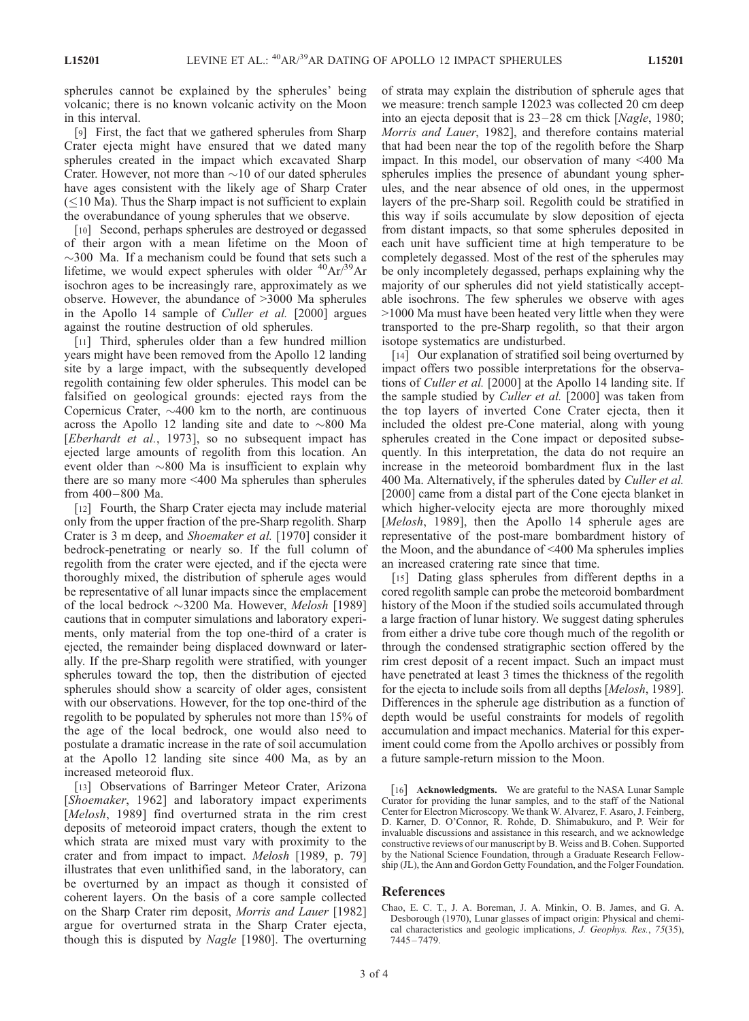spherules cannot be explained by the spherules' being volcanic; there is no known volcanic activity on the Moon in this interval.

[9] First, the fact that we gathered spherules from Sharp Crater ejecta might have ensured that we dated many spherules created in the impact which excavated Sharp Crater. However, not more than  $\sim$  10 of our dated spherules have ages consistent with the likely age of Sharp Crater  $(\leq 10$  Ma). Thus the Sharp impact is not sufficient to explain the overabundance of young spherules that we observe.

[10] Second, perhaps spherules are destroyed or degassed of their argon with a mean lifetime on the Moon of  $\sim$ 300 Ma. If a mechanism could be found that sets such a lifetime, we would expect spherules with older  ${}^{40}Ar/{}^{39}Ar$ isochron ages to be increasingly rare, approximately as we observe. However, the abundance of >3000 Ma spherules in the Apollo 14 sample of Culler et al. [2000] argues against the routine destruction of old spherules.

[11] Third, spherules older than a few hundred million years might have been removed from the Apollo 12 landing site by a large impact, with the subsequently developed regolith containing few older spherules. This model can be falsified on geological grounds: ejected rays from the Copernicus Crater,  $\sim$ 400 km to the north, are continuous across the Apollo 12 landing site and date to  $\sim 800$  Ma [Eberhardt et al., 1973], so no subsequent impact has ejected large amounts of regolith from this location. An event older than  $\sim 800$  Ma is insufficient to explain why there are so many more <400 Ma spherules than spherules from 400 – 800 Ma.

[12] Fourth, the Sharp Crater ejecta may include material only from the upper fraction of the pre-Sharp regolith. Sharp Crater is 3 m deep, and Shoemaker et al. [1970] consider it bedrock-penetrating or nearly so. If the full column of regolith from the crater were ejected, and if the ejecta were thoroughly mixed, the distribution of spherule ages would be representative of all lunar impacts since the emplacement of the local bedrock  $\sim$ 3200 Ma. However, *Melosh* [1989] cautions that in computer simulations and laboratory experiments, only material from the top one-third of a crater is ejected, the remainder being displaced downward or laterally. If the pre-Sharp regolith were stratified, with younger spherules toward the top, then the distribution of ejected spherules should show a scarcity of older ages, consistent with our observations. However, for the top one-third of the regolith to be populated by spherules not more than 15% of the age of the local bedrock, one would also need to postulate a dramatic increase in the rate of soil accumulation at the Apollo 12 landing site since 400 Ma, as by an increased meteoroid flux.

[13] Observations of Barringer Meteor Crater, Arizona [Shoemaker, 1962] and laboratory impact experiments [Melosh, 1989] find overturned strata in the rim crest deposits of meteoroid impact craters, though the extent to which strata are mixed must vary with proximity to the crater and from impact to impact. Melosh [1989, p. 79] illustrates that even unlithified sand, in the laboratory, can be overturned by an impact as though it consisted of coherent layers. On the basis of a core sample collected on the Sharp Crater rim deposit, Morris and Lauer [1982] argue for overturned strata in the Sharp Crater ejecta, though this is disputed by Nagle [1980]. The overturning

of strata may explain the distribution of spherule ages that we measure: trench sample 12023 was collected 20 cm deep into an ejecta deposit that is  $23-28$  cm thick [*Nagle*, 1980; Morris and Lauer, 1982], and therefore contains material that had been near the top of the regolith before the Sharp impact. In this model, our observation of many <400 Ma spherules implies the presence of abundant young spherules, and the near absence of old ones, in the uppermost layers of the pre-Sharp soil. Regolith could be stratified in this way if soils accumulate by slow deposition of ejecta from distant impacts, so that some spherules deposited in each unit have sufficient time at high temperature to be completely degassed. Most of the rest of the spherules may be only incompletely degassed, perhaps explaining why the majority of our spherules did not yield statistically acceptable isochrons. The few spherules we observe with ages >1000 Ma must have been heated very little when they were transported to the pre-Sharp regolith, so that their argon isotope systematics are undisturbed.

[14] Our explanation of stratified soil being overturned by impact offers two possible interpretations for the observations of Culler et al. [2000] at the Apollo 14 landing site. If the sample studied by Culler et al. [2000] was taken from the top layers of inverted Cone Crater ejecta, then it included the oldest pre-Cone material, along with young spherules created in the Cone impact or deposited subsequently. In this interpretation, the data do not require an increase in the meteoroid bombardment flux in the last 400 Ma. Alternatively, if the spherules dated by *Culler et al.* [2000] came from a distal part of the Cone ejecta blanket in which higher-velocity ejecta are more thoroughly mixed [Melosh, 1989], then the Apollo 14 spherule ages are representative of the post-mare bombardment history of the Moon, and the abundance of <400 Ma spherules implies an increased cratering rate since that time.

[15] Dating glass spherules from different depths in a cored regolith sample can probe the meteoroid bombardment history of the Moon if the studied soils accumulated through a large fraction of lunar history. We suggest dating spherules from either a drive tube core though much of the regolith or through the condensed stratigraphic section offered by the rim crest deposit of a recent impact. Such an impact must have penetrated at least 3 times the thickness of the regolith for the ejecta to include soils from all depths [Melosh, 1989]. Differences in the spherule age distribution as a function of depth would be useful constraints for models of regolith accumulation and impact mechanics. Material for this experiment could come from the Apollo archives or possibly from a future sample-return mission to the Moon.

[16] **Acknowledgments.** We are grateful to the NASA Lunar Sample Curator for providing the lunar samples, and to the staff of the National Center for Electron Microscopy. We thank W. Alvarez, F. Asaro, J. Feinberg, D. Karner, D. O'Connor, R. Rohde, D. Shimabukuro, and P. Weir for invaluable discussions and assistance in this research, and we acknowledge constructive reviews of our manuscript by B. Weiss and B. Cohen. Supported by the National Science Foundation, through a Graduate Research Fellowship (JL), the Ann and Gordon Getty Foundation, and the Folger Foundation.

## References

Chao, E. C. T., J. A. Boreman, J. A. Minkin, O. B. James, and G. A. Desborough (1970), Lunar glasses of impact origin: Physical and chemical characteristics and geologic implications, J. Geophys. Res., 75(35), 7445 – 7479.